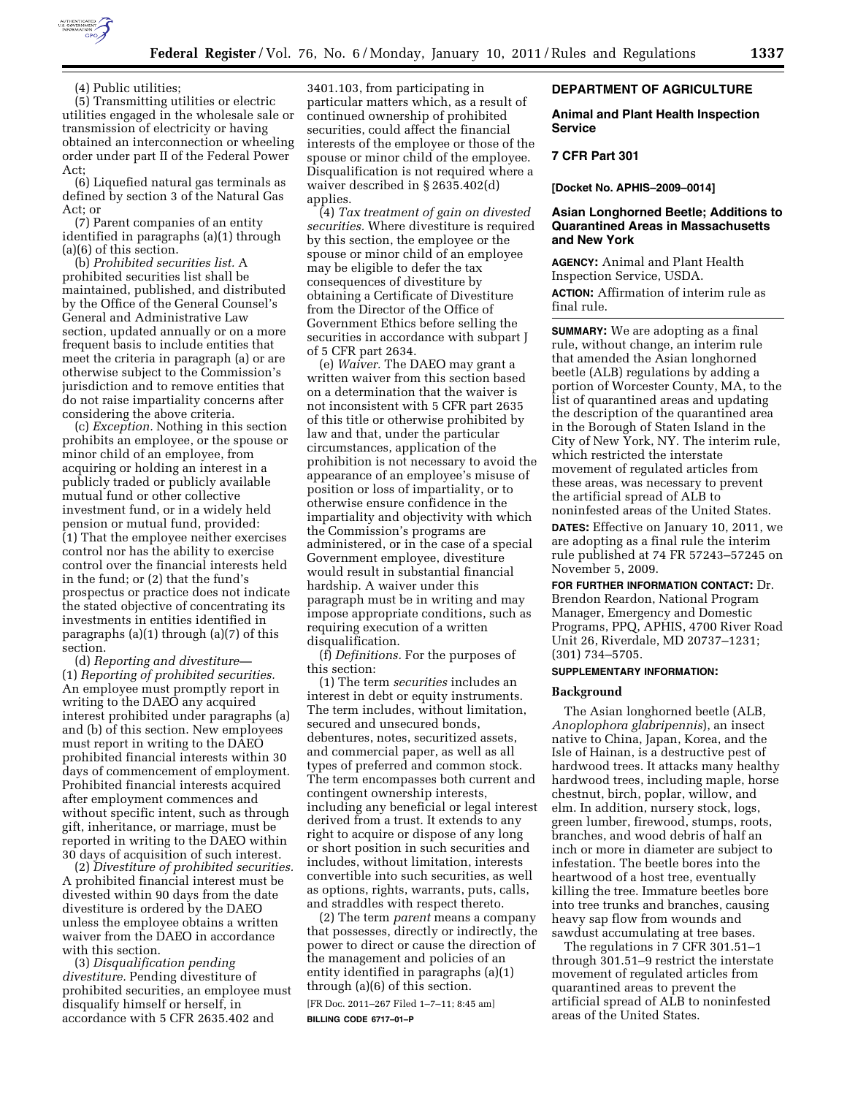

(5) Transmitting utilities or electric utilities engaged in the wholesale sale or transmission of electricity or having obtained an interconnection or wheeling order under part II of the Federal Power Act;

(6) Liquefied natural gas terminals as defined by section 3 of the Natural Gas Act; or

(7) Parent companies of an entity identified in paragraphs (a)(1) through (a)(6) of this section.

(b) *Prohibited securities list.* A prohibited securities list shall be maintained, published, and distributed by the Office of the General Counsel's General and Administrative Law section, updated annually or on a more frequent basis to include entities that meet the criteria in paragraph (a) or are otherwise subject to the Commission's jurisdiction and to remove entities that do not raise impartiality concerns after considering the above criteria.

(c) *Exception.* Nothing in this section prohibits an employee, or the spouse or minor child of an employee, from acquiring or holding an interest in a publicly traded or publicly available mutual fund or other collective investment fund, or in a widely held pension or mutual fund, provided: (1) That the employee neither exercises control nor has the ability to exercise control over the financial interests held in the fund; or (2) that the fund's prospectus or practice does not indicate the stated objective of concentrating its investments in entities identified in paragraphs (a)(1) through (a)(7) of this section.

(d) *Reporting and divestiture—*  (1) *Reporting of prohibited securities.*  An employee must promptly report in writing to the DAEO any acquired interest prohibited under paragraphs (a) and (b) of this section. New employees must report in writing to the DAEO prohibited financial interests within 30 days of commencement of employment. Prohibited financial interests acquired after employment commences and without specific intent, such as through gift, inheritance, or marriage, must be reported in writing to the DAEO within 30 days of acquisition of such interest.

(2) *Divestiture of prohibited securities.*  A prohibited financial interest must be divested within 90 days from the date divestiture is ordered by the DAEO unless the employee obtains a written waiver from the DAEO in accordance with this section.

(3) *Disqualification pending divestiture.* Pending divestiture of prohibited securities, an employee must disqualify himself or herself, in accordance with 5 CFR 2635.402 and

3401.103, from participating in particular matters which, as a result of continued ownership of prohibited securities, could affect the financial interests of the employee or those of the spouse or minor child of the employee. Disqualification is not required where a waiver described in § 2635.402(d) applies.

(4) *Tax treatment of gain on divested securities.* Where divestiture is required by this section, the employee or the spouse or minor child of an employee may be eligible to defer the tax consequences of divestiture by obtaining a Certificate of Divestiture from the Director of the Office of Government Ethics before selling the securities in accordance with subpart J of 5 CFR part 2634.

(e) *Waiver.* The DAEO may grant a written waiver from this section based on a determination that the waiver is not inconsistent with 5 CFR part 2635 of this title or otherwise prohibited by law and that, under the particular circumstances, application of the prohibition is not necessary to avoid the appearance of an employee's misuse of position or loss of impartiality, or to otherwise ensure confidence in the impartiality and objectivity with which the Commission's programs are administered, or in the case of a special Government employee, divestiture would result in substantial financial hardship. A waiver under this paragraph must be in writing and may impose appropriate conditions, such as requiring execution of a written disqualification.

(f) *Definitions.* For the purposes of this section:

(1) The term *securities* includes an interest in debt or equity instruments. The term includes, without limitation, secured and unsecured bonds, debentures, notes, securitized assets, and commercial paper, as well as all types of preferred and common stock. The term encompasses both current and contingent ownership interests, including any beneficial or legal interest derived from a trust. It extends to any right to acquire or dispose of any long or short position in such securities and includes, without limitation, interests convertible into such securities, as well as options, rights, warrants, puts, calls, and straddles with respect thereto.

(2) The term *parent* means a company that possesses, directly or indirectly, the power to direct or cause the direction of the management and policies of an entity identified in paragraphs (a)(1) through (a)(6) of this section.

[FR Doc. 2011–267 Filed 1–7–11; 8:45 am] **BILLING CODE 6717–01–P** 

## **DEPARTMENT OF AGRICULTURE**

### **Animal and Plant Health Inspection Service**

## **7 CFR Part 301**

**[Docket No. APHIS–2009–0014]** 

## **Asian Longhorned Beetle; Additions to Quarantined Areas in Massachusetts and New York**

**AGENCY:** Animal and Plant Health Inspection Service, USDA.

**ACTION:** Affirmation of interim rule as final rule.

**SUMMARY:** We are adopting as a final rule, without change, an interim rule that amended the Asian longhorned beetle (ALB) regulations by adding a portion of Worcester County, MA, to the list of quarantined areas and updating the description of the quarantined area in the Borough of Staten Island in the City of New York, NY. The interim rule, which restricted the interstate movement of regulated articles from these areas, was necessary to prevent the artificial spread of ALB to noninfested areas of the United States.

**DATES:** Effective on January 10, 2011, we are adopting as a final rule the interim rule published at 74 FR 57243–57245 on November 5, 2009.

**FOR FURTHER INFORMATION CONTACT:** Dr. Brendon Reardon, National Program Manager, Emergency and Domestic Programs, PPQ, APHIS, 4700 River Road Unit 26, Riverdale, MD 20737–1231; (301) 734–5705.

### **SUPPLEMENTARY INFORMATION:**

### **Background**

The Asian longhorned beetle (ALB, *Anoplophora glabripennis*), an insect native to China, Japan, Korea, and the Isle of Hainan, is a destructive pest of hardwood trees. It attacks many healthy hardwood trees, including maple, horse chestnut, birch, poplar, willow, and elm. In addition, nursery stock, logs, green lumber, firewood, stumps, roots, branches, and wood debris of half an inch or more in diameter are subject to infestation. The beetle bores into the heartwood of a host tree, eventually killing the tree. Immature beetles bore into tree trunks and branches, causing heavy sap flow from wounds and sawdust accumulating at tree bases.

The regulations in 7 CFR 301.51–1 through 301.51–9 restrict the interstate movement of regulated articles from quarantined areas to prevent the artificial spread of ALB to noninfested areas of the United States.